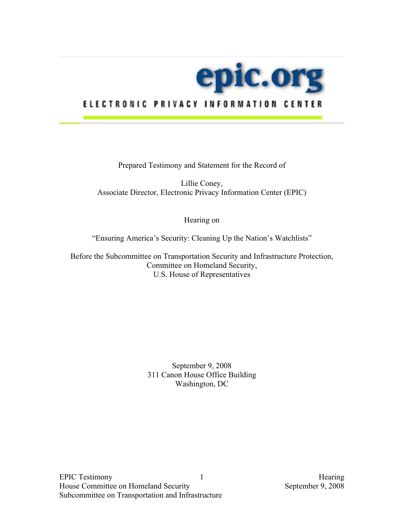

# ELECTRONIC PRIVACY INFORMATION CENTER

Prepared Testimony and Statement for the Record of

Lillie Coney, Associate Director, Electronic Privacy Information Center (EPIC)

Hearing on

"Ensuring America's Security: Cleaning Up the Nation's Watchlists"

Before the Subcommittee on Transportation Security and Infrastructure Protection, Committee on Homeland Security, U.S. House of Representatives

> September 9, 2008 311 Canon House Office Building Washington, DC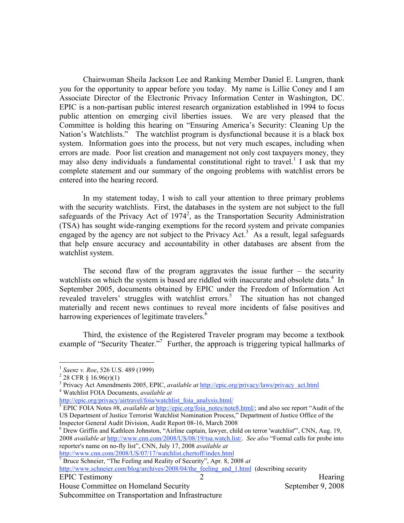Nation's Watchlists." The watchlist program is dysfunctional because it is a black box Chairwoman Sheila Jackson Lee and Ranking Member Daniel E. Lungren, thank you for the opportunity to appear before you today. My name is Lillie Coney and I am Associate Director of the Electronic Privacy Information Center in Washington, DC. EPIC is a non-partisan public interest research organization established in 1994 to focus public attention on emerging civil liberties issues. We are very pleased that the Committee is holding this hearing on "Ensuring America's Security: Cleaning Up the system. Information goes into the process, but not very much escapes, including when errors are made. Poor list creation and management not only cost taxpayers money, they may also deny individuals a fundamental constitutional right to travel.<sup>1</sup> I ask that my complete statement and our summary of the ongoing problems with watchlist errors be entered into the hearing record.

engaged by the agency are not subject to the Privacy Act.<sup>3</sup> As a result, legal safeguards In my statement today, I wish to call your attention to three primary problems with the security watchlists. First, the databases in the system are not subject to the full safeguards of the Privacy Act of  $1974^2$ , as the Transportation Security Administration (TSA) has sought wide-ranging exemptions for the record system and private companies that help ensure accuracy and accountability in other databases are absent from the watchlist system.

watchlists on which the system is based are riddled with inaccurate and obsolete data.<sup>4</sup> In revealed travelers' struggles with watchlist errors.<sup>5</sup> The situation has not changed harrowing experiences of legitimate travelers.<sup>6</sup> The second flaw of the program aggravates the issue further  $-$  the security September 2005, documents obtained by EPIC under the Freedom of Information Act materially and recent news continues to reveal more incidents of false positives and

example of "Security Theater."<sup>7</sup> Further, the approach is triggering typical hallmarks of Third, the existence of the Registered Traveler program may become a textbook

<u>.</u>

 $6$  Drew Griffin and Kathleen Johnston, "Airline captain, lawyer, child on terror 'watchlist'", CNN, Aug. 19, 2008 *available at* http://www.cnn.com/2008/US/08/19/tsa.watch.list/. *See also* "Formal calls for probe into reporter's name on no-fly list", CNN, July 17, 2008 *available at*

House Committee on Homeland Security September 9, 2008

<sup>&</sup>lt;sup>1</sup> Saenz v. Roe, 526 U.S. 489 (1999)<br><sup>2</sup> 28 CFR § 16.96(r)(1)

<sup>&</sup>lt;sup>2</sup> 28 CFR  $\S$  16.96(r)(1)

<sup>&</sup>lt;sup>2</sup> 28 CFR § 16.96(r)(1)<br><sup>3</sup> Privacy Act Amendments 2005, EPIC, *available at* <u>http://epic.org/privacy/laws/privacy\_act.html</u> <sup>4</sup> Watchlist FOIA Documents, available at <sup>3</sup> Privacy Act Amendments 2005, EPIC, *available at* http://epic.org/privacy/laws/privacy\_act.html 4 Watchlist FOIA Documents, *available at* 

http://epic.org/privacy/airtravel/foia/watchlist foia analysis.html/

http://epic.org/privacy/airtravel/foia/watchlist\_foia\_analysis.html/<br><sup>5</sup> EPIC FOIA Notes #8, *available at* http://epic.org/foia\_notes/note8.html/; and also see report "Audit of the US Department of Justice Terrorist Watchlist Nomination Process," Department of Justice Office of the Inspector General Audit Division, Audit Report 08-16, March 2008

 http://www.cnn.com/2008/US/07/17/watchlist.chertoff/index.html 7 Bruce Schneier, "The Feeling and Reality of Security", Apr. 8, 2008 *at* 

http://www.schneier.com/blog/archives/2008/04/the feeling and 1.html (describing security

Subcommittee on Transportation and Infrastructure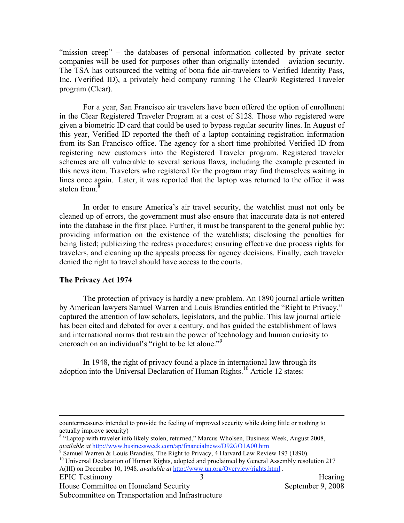"mission creep" – the databases of personal information collected by private sector companies will be used for purposes other than originally intended – aviation security. The TSA has outsourced the vetting of bona fide air-travelers to Verified Identity Pass, Inc. (Verified ID), a privately held company running The Clear® Registered Traveler program (Clear).

 lines once again. Later, it was reported that the laptop was returned to the office it was For a year, San Francisco air travelers have been offered the option of enrollment in the Clear Registered Traveler Program at a cost of \$128. Those who registered were given a biometric ID card that could be used to bypass regular security lines. In August of this year, Verified ID reported the theft of a laptop containing registration information from its San Francisco office. The agency for a short time prohibited Verified ID from registering new customers into the Registered Traveler program. Registered traveler schemes are all vulnerable to several serious flaws, including the example presented in this news item. Travelers who registered for the program may find themselves waiting in stolen from.<sup>8</sup>

In order to ensure America's air travel security, the watchlist must not only be cleaned up of errors, the government must also ensure that inaccurate data is not entered into the database in the first place. Further, it must be transparent to the general public by: providing information on the existence of the watchlists; disclosing the penalties for being listed; publicizing the redress procedures; ensuring effective due process rights for travelers, and cleaning up the appeals process for agency decisions. Finally, each traveler denied the right to travel should have access to the courts.

# **The Privacy Act 1974**

 $\overline{a}$ 

encroach on an individual's "right to be let alone."<sup>9</sup> The protection of privacy is hardly a new problem. An 1890 journal article written by American lawyers Samuel Warren and Louis Brandies entitled the "Right to Privacy," captured the attention of law scholars, legislators, and the public. This law journal article has been cited and debated for over a century, and has guided the establishment of laws and international norms that restrain the power of technology and human curiosity to

In 1948, the right of privacy found a place in international law through its adoption into the Universal Declaration of Human Rights.10 Article 12 states:

House Committee on Homeland Security September 9, 2008

 actually improve security) countermeasures intended to provide the feeling of improved security while doing little or nothing to

<sup>&</sup>lt;sup>8</sup> "Laptop with traveler info likely stolen, returned," Marcus Wholsen, Business Week, August 2008, *available at* http://www.businessweek.com/ap/financialnews/D92GO1A00.htm available at <u>http://www.businessweek.com/ap/financialnews/D92GO1A00.htm</u><br><sup>9</sup> Samuel Warren & Louis Brandies, The Right to Privacy, 4 Harvard Law Review 193 (1890).

<sup>&</sup>lt;sup>10</sup> Universal Declaration of Human Rights, adopted and proclaimed by General Assembly resolution 217 A(III) on December 10, 1948*, available at* http://www.un.org/Overview/rights.html . EPIC Testimony and 3 and 3 and 3 Hearing Hearing Hearing Hearing 3 and 3 Hearing Hearing Hearing Hearing 1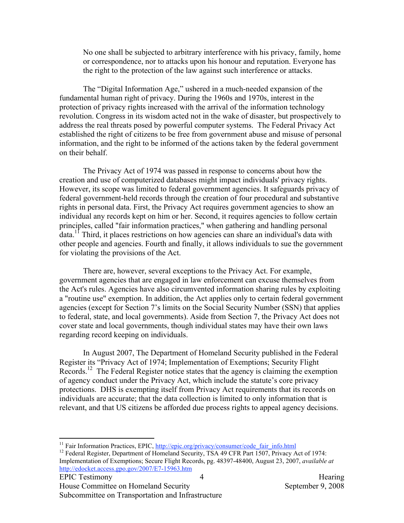No one shall be subjected to arbitrary interference with his privacy, family, home or correspondence, nor to attacks upon his honour and reputation. Everyone has the right to the protection of the law against such interference or attacks.

The "Digital Information Age," ushered in a much-needed expansion of the fundamental human right of privacy. During the 1960s and 1970s, interest in the protection of privacy rights increased with the arrival of the information technology revolution. Congress in its wisdom acted not in the wake of disaster, but prospectively to address the real threats posed by powerful computer systems. The Federal Privacy Act established the right of citizens to be free from government abuse and misuse of personal information, and the right to be informed of the actions taken by the federal government on their behalf.

The Privacy Act of 1974 was passed in response to concerns about how the creation and use of computerized databases might impact individuals' privacy rights. However, its scope was limited to federal government agencies. It safeguards privacy of federal government-held records through the creation of four procedural and substantive rights in personal data. First, the Privacy Act requires government agencies to show an individual any records kept on him or her. Second, it requires agencies to follow certain principles, called "fair information practices," when gathering and handling personal  $data<sup>11</sup>$ . Third, it places restrictions on how agencies can share an individual's data with other people and agencies. Fourth and finally, it allows individuals to sue the government for violating the provisions of the Act.

There are, however, several exceptions to the Privacy Act. For example, government agencies that are engaged in law enforcement can excuse themselves from the Act's rules. Agencies have also circumvented information sharing rules by exploiting a "routine use" exemption. In addition, the Act applies only to certain federal government agencies (except for Section 7's limits on the Social Security Number (SSN) that applies to federal, state, and local governments). Aside from Section 7, the Privacy Act does not cover state and local governments, though individual states may have their own laws regarding record keeping on individuals.

In August 2007, The Department of Homeland Security published in the Federal Register its "Privacy Act of 1974; Implementation of Exemptions; Security Flight Records.<sup>12</sup> The Federal Register notice states that the agency is claiming the exemption of agency conduct under the Privacy Act, which include the statute's core privacy protections. DHS is exempting itself from Privacy Act requirements that its records on individuals are accurate; that the data collection is limited to only information that is relevant, and that US citizens be afforded due process rights to appeal agency decisions.

 $\overline{a}$ 

<sup>&</sup>lt;sup>11</sup> Fair Information Practices, EPIC, <u>http://epic.org/privacy/consumer/code\_fair\_info.html</u><br><sup>12</sup> Federal Register, Department of Homeland Security, TSA 49 CFR Part 1507, Privacy Act of 1974:

 Implementation of Exemptions; Secure Flight Records, pg. 48397-48400, August 23, 2007, *available at*  http://edocket.access.gpo.gov/2007/E7-15963.htm 4<br>EPIC Testimony 4 Hearing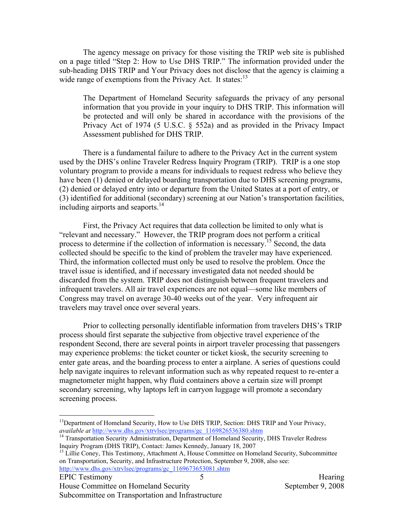wide range of exemptions from the Privacy Act. It states:<sup>13</sup> The agency message on privacy for those visiting the TRIP web site is published on a page titled "Step 2: How to Use DHS TRIP." The information provided under the sub-heading DHS TRIP and Your Privacy does not disclose that the agency is claiming a

The Department of Homeland Security safeguards the privacy of any personal information that you provide in your inquiry to DHS TRIP. This information will be protected and will only be shared in accordance with the provisions of the Privacy Act of 1974 (5 U.S.C. § 552a) and as provided in the Privacy Impact Assessment published for DHS TRIP.

including airports and seaports.<sup>14</sup> There is a fundamental failure to adhere to the Privacy Act in the current system used by the DHS's online Traveler Redress Inquiry Program (TRIP). TRIP is a one stop voluntary program to provide a means for individuals to request redress who believe they have been (1) denied or delayed boarding transportation due to DHS screening programs, (2) denied or delayed entry into or departure from the United States at a port of entry, or (3) identified for additional (secondary) screening at our Nation's transportation facilities,

First, the Privacy Act requires that data collection be limited to only what is "relevant and necessary." However, the TRIP program does not perform a critical process to determine if the collection of information is necessary.<sup>15</sup> Second, the data collected should be specific to the kind of problem the traveler may have experienced. Third, the information collected must only be used to resolve the problem. Once the travel issue is identified, and if necessary investigated data not needed should be discarded from the system. TRIP does not distinguish between frequent travelers and infrequent travelers. All air travel experiences are not equal—some like members of Congress may travel on average 30-40 weeks out of the year. Very infrequent air travelers may travel once over several years.

Prior to collecting personally identifiable information from travelers DHS's TRIP process should first separate the subjective from objective travel experience of the respondent Second, there are several points in airport traveler processing that passengers may experience problems: the ticket counter or ticket kiosk, the security screening to enter gate areas, and the boarding process to enter a airplane. A series of questions could help navigate inquires to relevant information such as why repeated request to re-enter a magnetometer might happen, why fluid containers above a certain size will prompt secondary screening, why laptops left in carryon luggage will promote a secondary screening process.

 $\overline{a}$ 

House Committee on Homeland Security September 9, 2008 Subcommittee on Transportation and Infrastructure

ĺ. *available at* http://www.dhs.gov/xtrvlsec/programs/gc\_1169826536380.shtm 14 Transportation Security Administration, Department of Homeland Security, DHS Traveler Redress <sup>13</sup>Department of Homeland Security, How to Use DHS TRIP, Section: DHS TRIP and Your Privacy,

 Inquiry Program (DHS TRIP), Contact: James Kennedy, January 18, 2007

<sup>&</sup>lt;sup>15</sup> Lillie Coney, This Testimony, Attachment A, House Committee on Homeland Security, Subcommittee on Transportation, Security, and Infrastructure Protection, September 9, 2008, also see: http://www.dhs.gov/xtrvlsec/programs/gc\_1169673653081.shtm EPIC Testimony Hearing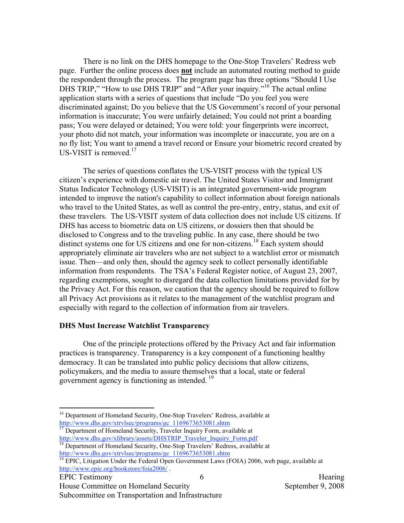There is no link on the DHS homepage to the One-Stop Travelers' Redress web page. Further the online process does **not** include an automated routing method to guide the respondent through the process. The program page has three options "Should I Use DHS TRIP," "How to use DHS TRIP" and "After your inquiry."<sup>16</sup> The actual online application starts with a series of questions that include "Do you feel you were discriminated against; Do you believe that the US Government's record of your personal information is inaccurate; You were unfairly detained; You could not print a boarding pass; You were delayed or detained; You were told: your fingerprints were incorrect, your photo did not match, your information was incomplete or inaccurate, you are on a no fly list; You want to amend a travel record or Ensure your biometric record created by US-VISIT is removed.<sup>17</sup>

The series of questions conflates the US-VISIT process with the typical US citizen's experience with domestic air travel. The United States Visitor and Immigrant Status Indicator Technology (US-VISIT) is an integrated government-wide program intended to improve the nation's capability to collect information about foreign nationals who travel to the United States, as well as control the pre-entry, entry, status, and exit of these travelers. The US-VISIT system of data collection does not include US citizens. If DHS has access to biometric data on US citizens, or dossiers then that should be disclosed to Congress and to the traveling public. In any case, there should be two distinct systems one for US citizens and one for non-citizens.<sup>18</sup> Each system should appropriately eliminate air travelers who are not subject to a watchlist error or mismatch issue. Then—and only then, should the agency seek to collect personally identifiable information from respondents. The TSA's Federal Register notice, of August 23, 2007, regarding exemptions, sought to disregard the data collection limitations provided for by the Privacy Act. For this reason, we caution that the agency should be required to follow all Privacy Act provisions as it relates to the management of the watchlist program and especially with regard to the collection of information from air travelers.

# **DHS Must Increase Watchlist Transparency**

government agency is functioning as intended.<sup>19</sup> One of the principle protections offered by the Privacy Act and fair information practices is transparency. Transparency is a key component of a functioning healthy democracy. It can be translated into public policy decisions that allow citizens, policymakers, and the media to assure themselves that a local, state or federal

http://www.dhs.gov/xlibrary/assets/DHSTRIP\_Traveler\_Inquiry\_Form.pdf <sup>17</sup> Department of Homeland Security, Traveler Inquiry Form, available at

EPIC Testimony and the set of the set of the set of the set of the set of the Hearing

 $\overline{a}$ 

House Committee on Homeland Security September 9, 2008

<sup>&</sup>lt;sup>16</sup> Department of Homeland Security, One-Stop Travelers' Redress, available at http://www.dhs.gov/xtrvlsec/programs/gc\_1169673653081.shtm

<sup>&</sup>lt;sup>18</sup> Department of Homeland Security, One-Stop Travelers' Redress, available at http://www.dhs.gov/xtrvlsec/programs/gc\_1169673653081.shtm

<sup>&</sup>lt;sup>19</sup> EPIC, Litigation Under the Federal Open Government Laws (FOIA) 2006, web page, available at http://www.epic.org/bookstore/foia2006/ .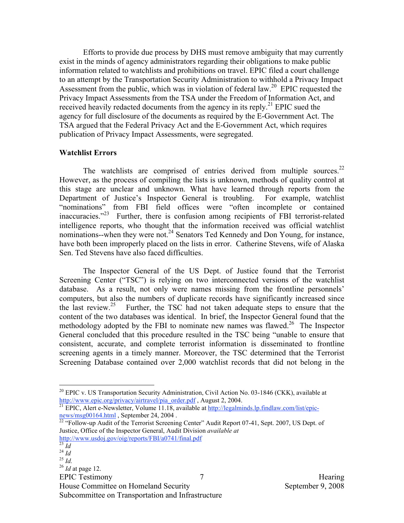Efforts to provide due process by DHS must remove ambiguity that may currently exist in the minds of agency administrators regarding their obligations to make public information related to watchlists and prohibitions on travel. EPIC filed a court challenge to an attempt by the Transportation Security Administration to withhold a Privacy Impact Assessment from the public, which was in violation of federal law.<sup>20</sup> EPIC requested the Privacy Impact Assessments from the TSA under the Freedom of Information Act, and received heavily redacted documents from the agency in its reply.<sup>21</sup> EPIC sued the agency for full disclosure of the documents as required by the E-Government Act. The TSA argued that the Federal Privacy Act and the E-Government Act, which requires publication of Privacy Impact Assessments, were segregated.

#### **Watchlist Errors**

The watchlists are comprised of entries derived from multiple sources. $22$ inaccuracies."<sup>23</sup> Further, there is confusion among recipients of FBI terrorist-related However, as the process of compiling the lists is unknown, methods of quality control at this stage are unclear and unknown. What have learned through reports from the Department of Justice's Inspector General is troubling. For example, watchlist "nominations" from FBI field offices were "often incomplete or contained intelligence reports, who thought that the information received was official watchlist nominations--when they were not.<sup>24</sup> Senators Ted Kennedy and Don Young, for instance, have both been improperly placed on the lists in error. Catherine Stevens, wife of Alaska Sen. Ted Stevens have also faced difficulties.

the last review.<sup>25</sup> Further, the TSC had not taken adequate steps to ensure that the methodology adopted by the FBI to nominate new names was flawed.<sup>26</sup> The Inspector The Inspector General of the US Dept. of Justice found that the Terrorist Screening Center ("TSC") is relying on two interconnected versions of the watchlist database. As a result, not only were names missing from the frontline personnels' computers, but also the numbers of duplicate records have significantly increased since content of the two databases was identical. In brief, the Inspector General found that the General concluded that this procedure resulted in the TSC being "unable to ensure that consistent, accurate, and complete terrorist information is disseminated to frontline screening agents in a timely manner. Moreover, the TSC determined that the Terrorist Screening Database contained over 2,000 watchlist records that did not belong in the

j. news/msg00164.html , September 24, 2004 .<br><sup>22</sup> "Follow-up Audit of the Terrorist Screening Center" Audit Report 07-41, Sept. 2007, US Dept. of

 Justice, Office of the Inspector General, Audit Division *available at*  http://www.usdoj.gov/oig/reports/FBI/a0741/final.pdf

<u>.</u>

House Committee on Homeland Security September 9, 2008

 $20$  EPIC v. US Transportation Security Administration, Civil Action No. 03-1846 (CKK), available at Ì http://www.epic.org/privacy/airtravel/pia\_order.pdf , August 2, 2004.<br><sup>21</sup> EPIC, Alert e-Newsletter, Volume 11.18, available at <u>http://legalminds.lp.findlaw.com/list/epic</u>-

 <sup>23</sup>*Id* <sup>24</sup>*Id* <sup>25</sup>*Id.* <sup>26</sup>*Id* at page 12.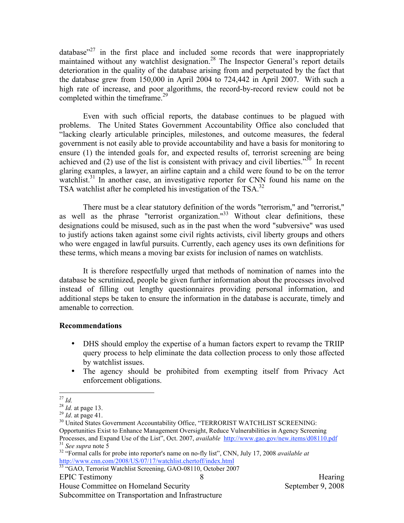completed within the timeframe.<sup>29</sup> database $r^{27}$  in the first place and included some records that were inappropriately maintained without any watchlist designation.<sup>28</sup> The Inspector General's report details deterioration in the quality of the database arising from and perpetuated by the fact that the database grew from 150,000 in April 2004 to 724,442 in April 2007. With such a high rate of increase, and poor algorithms, the record-by-record review could not be

achieved and (2) use of the list is consistent with privacy and civil liberties."<sup>30</sup> In recent Even with such official reports, the database continues to be plagued with problems. The United States Government Accountability Office also concluded that "lacking clearly articulable principles, milestones, and outcome measures, the federal government is not easily able to provide accountability and have a basis for monitoring to ensure (1) the intended goals for, and expected results of, terrorist screening are being glaring examples, a lawyer, an airline captain and a child were found to be on the terror watchlist.<sup>31</sup> In another case, an investigative reporter for CNN found his name on the TSA watchlist after he completed his investigation of the TSA.<sup>32</sup>

There must be a clear statutory definition of the words "terrorism," and "terrorist," as well as the phrase "terrorist organization."<sup>33</sup> Without clear definitions, these designations could be misused, such as in the past when the word "subversive" was used to justify actions taken against some civil rights activists, civil liberty groups and others who were engaged in lawful pursuits. Currently, each agency uses its own definitions for these terms, which means a moving bar exists for inclusion of names on watchlists.

It is therefore respectfully urged that methods of nomination of names into the database be scrutinized, people be given further information about the processes involved instead of filling out lengthy questionnaires providing personal information, and additional steps be taken to ensure the information in the database is accurate, timely and amenable to correction.

# **Recommendations**

- by watchlist issues. • DHS should employ the expertise of a human factors expert to revamp the TRIIP query process to help eliminate the data collection process to only those affected
- The agency should be prohibited from exempting itself from Privacy Act enforcement obligations.

<sup>1</sup> 

<sup>27</sup>*Id.* <sup>28</sup>*Id.* at page 13.

<sup>&</sup>lt;sup>28</sup> *Id*. at page 13.<br><sup>29</sup> *Id*. at page 41.

 $\frac{29}{30}$  Id. at page 41.<br><sup>30</sup> United States Government Accountability Office, "TERRORIST WATCHLIST SCREENING: Opportunities Exist to Enhance Management Oversight, Reduce Vulnerabilities in Agency Screening Processes, and Expand Use of the List", Oct. 2007, *available* http://www.gao.gov/new.items/d08110.pdf <sup>31</sup>*See supra* note 5  $31$  See supra note 5

<sup>&</sup>lt;sup>31</sup> See supra note 5<br><sup>32</sup> "Formal calls for probe into reporter's name on no-fly list", CNN, July 17, 2008 *available at* http://www.cnn.com/2008/US/07/17/watchlist.chertoff/index.html

<sup>&</sup>lt;sup>33 "</sup>GAO, Terrorist Watchlist Screening, GAO-08110, October 2007 EPIC Testimony and a set of  $\sim$  8 and 100 mm s and 100 mm s Hearing Hearing Hearing